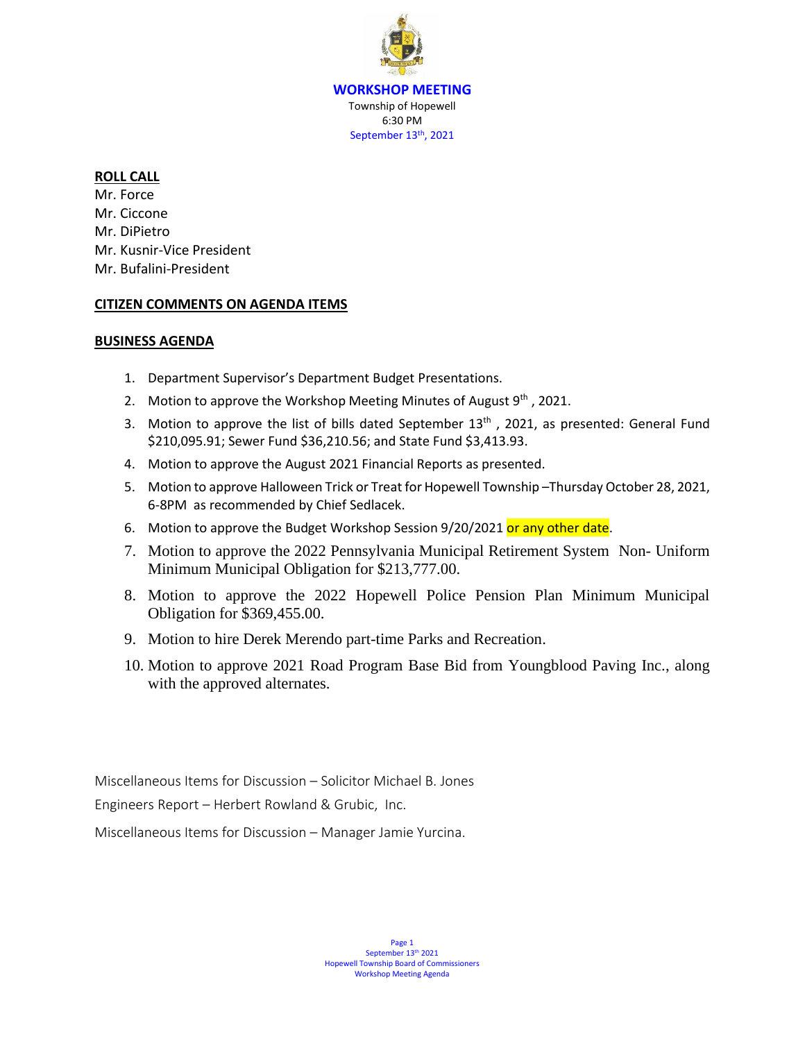**WORKSHOP MEETING** Township of Hopewell 6:30 PM September 13<sup>th</sup>, 2021

### **ROLL CALL**

Mr. Force Mr. Ciccone Mr. DiPietro Mr. Kusnir-Vice President Mr. Bufalini-President

### **CITIZEN COMMENTS ON AGENDA ITEMS**

### **BUSINESS AGENDA**

- 1. Department Supervisor's Department Budget Presentations.
- 2. Motion to approve the Workshop Meeting Minutes of August  $9<sup>th</sup>$ , 2021.
- 3. Motion to approve the list of bills dated September  $13<sup>th</sup>$ , 2021, as presented: General Fund \$210,095.91; Sewer Fund \$36,210.56; and State Fund \$3,413.93.
- 4. Motion to approve the August 2021 Financial Reports as presented.
- 5. Motion to approve Halloween Trick or Treat for Hopewell Township –Thursday October 28, 2021, 6-8PM as recommended by Chief Sedlacek.
- 6. Motion to approve the Budget Workshop Session 9/20/2021 or any other date.
- 7. Motion to approve the 2022 Pennsylvania Municipal Retirement System Non- Uniform Minimum Municipal Obligation for \$213,777.00.
- 8. Motion to approve the 2022 Hopewell Police Pension Plan Minimum Municipal Obligation for \$369,455.00.
- 9. Motion to hire Derek Merendo part-time Parks and Recreation.
- 10. Motion to approve 2021 Road Program Base Bid from Youngblood Paving Inc., along with the approved alternates.

Miscellaneous Items for Discussion – Solicitor Michael B. Jones

Engineers Report – Herbert Rowland & Grubic, Inc.

Miscellaneous Items for Discussion – Manager Jamie Yurcina.

Page 1 September 13<sup>th</sup> 2021 Hopewell Township Board of Commissioners Workshop Meeting Agenda